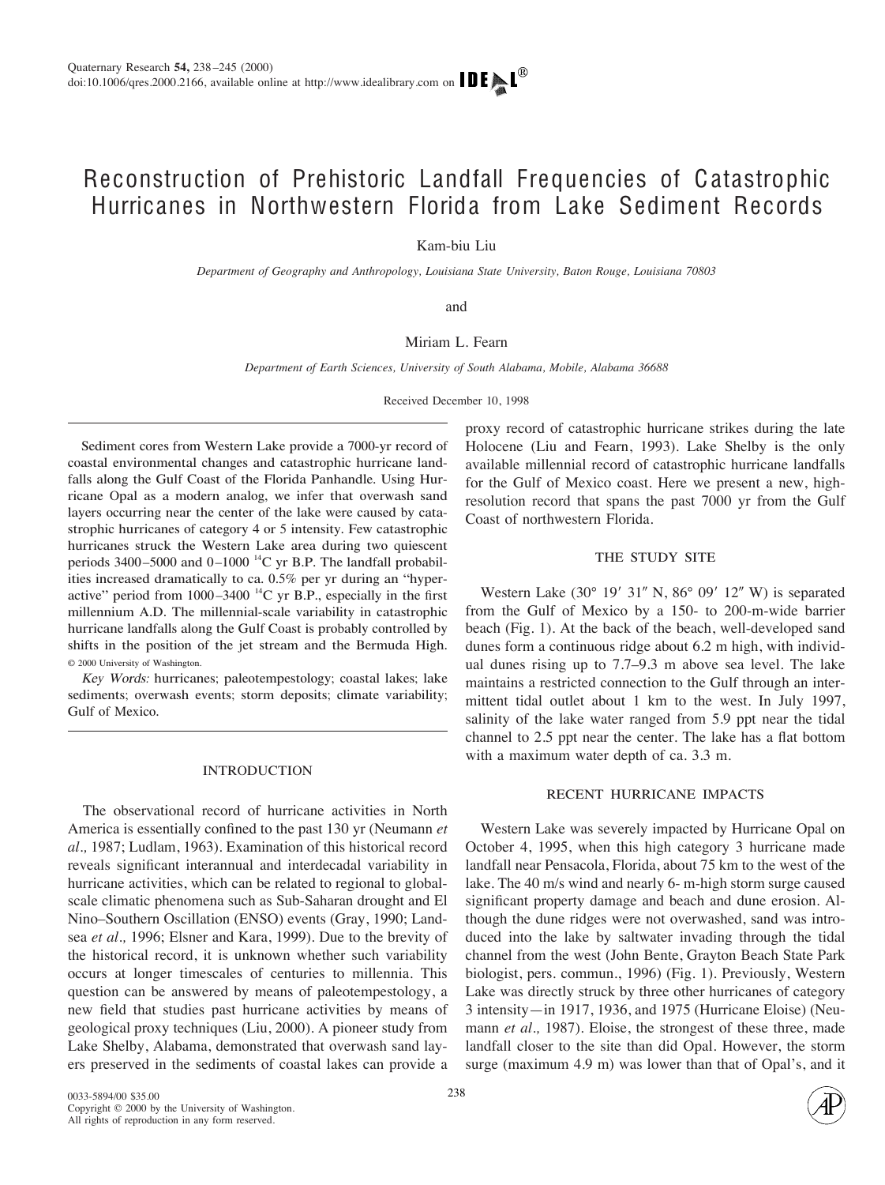# Reconstruction of Prehistoric Landfall Frequencies of Catastrophic Hurricanes in Northwestern Florida from Lake Sediment Records

Kam-biu Liu

*Department of Geography and Anthropology, Louisiana State University, Baton Rouge, Louisiana 70803*

and

## Miriam L. Fearn

*Department of Earth Sciences, University of South Alabama, Mobile, Alabama 36688*

Received December 10, 1998

Sediment cores from Western Lake provide a 7000-yr record of coastal environmental changes and catastrophic hurricane landfalls along the Gulf Coast of the Florida Panhandle. Using Hurricane Opal as a modern analog, we infer that overwash sand layers occurring near the center of the lake were caused by catastrophic hurricanes of category 4 or 5 intensity. Few catastrophic hurricanes struck the Western Lake area during two quiescent periods  $3400 - 5000$  and  $0 - 1000$  <sup>14</sup>C yr B.P. The landfall probabilities increased dramatically to ca. 0.5% per yr during an "hyperactive" period from  $1000-3400$  <sup>14</sup>C yr B.P., especially in the first millennium A.D. The millennial-scale variability in catastrophic hurricane landfalls along the Gulf Coast is probably controlled by shifts in the position of the jet stream and the Bermuda High. © 2000 University of Washington.

<sup>K</sup>e<sup>y</sup> <sup>W</sup>ord<sup>s</sup>: hurricanes; paleotempestology; coastal lakes; lake sediments; overwash events; storm deposits; climate variability; Gulf of Mexico.

#### INTRODUCTION

The observational record of hurricane activities in North America is essentially confined to the past 130 yr (Neumann *et al.,* 1987; Ludlam, 1963). Examination of this historical record reveals significant interannual and interdecadal variability in hurricane activities, which can be related to regional to globalscale climatic phenomena such as Sub-Saharan drought and El Nino–Southern Oscillation (ENSO) events (Gray, 1990; Landsea *et al.,* 1996; Elsner and Kara, 1999). Due to the brevity of the historical record, it is unknown whether such variability occurs at longer timescales of centuries to millennia. This question can be answered by means of paleotempestology, a new field that studies past hurricane activities by means of geological proxy techniques (Liu, 2000). A pioneer study from Lake Shelby, Alabama, demonstrated that overwash sand layers preserved in the sediments of coastal lakes can provide a proxy record of catastrophic hurricane strikes during the late Holocene (Liu and Fearn, 1993). Lake Shelby is the only available millennial record of catastrophic hurricane landfalls for the Gulf of Mexico coast. Here we present a new, highresolution record that spans the past 7000 yr from the Gulf Coast of northwestern Florida.

## THE STUDY SITE

Western Lake  $(30^{\circ}$  19' 31" N,  $86^{\circ}$  09' 12" W) is separated from the Gulf of Mexico by a 150- to 200-m-wide barrier beach (Fig. 1). At the back of the beach, well-developed sand dunes form a continuous ridge about 6.2 m high, with individual dunes rising up to 7.7–9.3 m above sea level. The lake maintains a restricted connection to the Gulf through an intermittent tidal outlet about 1 km to the west. In July 1997, salinity of the lake water ranged from 5.9 ppt near the tidal channel to 2.5 ppt near the center. The lake has a flat bottom with a maximum water depth of ca. 3.3 m.

#### RECENT HURRICANE IMPACTS

Western Lake was severely impacted by Hurricane Opal on October 4, 1995, when this high category 3 hurricane made landfall near Pensacola, Florida, about 75 km to the west of the lake. The 40 m/s wind and nearly 6- m-high storm surge caused significant property damage and beach and dune erosion. Although the dune ridges were not overwashed, sand was introduced into the lake by saltwater invading through the tidal channel from the west (John Bente, Grayton Beach State Park biologist, pers. commun., 1996) (Fig. 1). Previously, Western Lake was directly struck by three other hurricanes of category 3 intensity—in 1917, 1936, and 1975 (Hurricane Eloise) (Neumann *et al.,* 1987). Eloise, the strongest of these three, made landfall closer to the site than did Opal. However, the storm surge (maximum 4.9 m) was lower than that of Opal's, and it

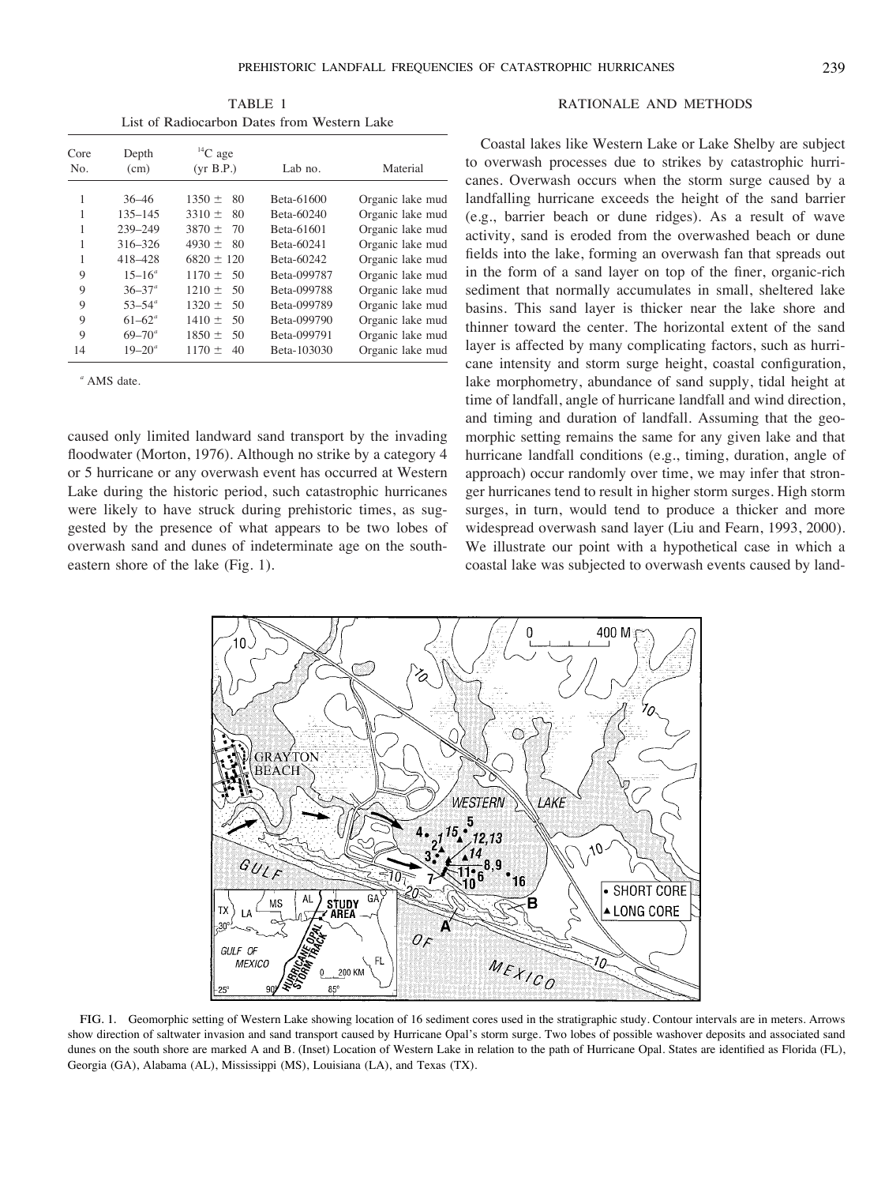TABLE 1 List of Radiocarbon Dates from Western Lake

| Core<br>No. | Depth<br>(cm)     | ${}^{14}C$ age<br>(vr B.P.) | Lab no.     | Material         |
|-------------|-------------------|-----------------------------|-------------|------------------|
|             |                   |                             |             |                  |
| 1           | $135 - 145$       | $3310 \pm$<br>80            | Beta-60240  | Organic lake mud |
| 1           | 239-249           | $3870 \pm$<br>70            | Beta-61601  | Organic lake mud |
| 1           | 316-326           | 4930 $\pm$<br>80            | Beta-60241  | Organic lake mud |
| 1           | 418-428           | $6820 \pm 120$              | Beta-60242  | Organic lake mud |
| 9           | $15 - 16^{\circ}$ | $1170 \pm 50$               | Beta-099787 | Organic lake mud |
| 9           | $36 - 37^{\circ}$ | $1210 \pm 50$               | Beta-099788 | Organic lake mud |
| 9           | $53 - 54^{\circ}$ | $1320 \pm$<br>50            | Beta-099789 | Organic lake mud |
| 9           | $61 - 62^{\circ}$ | $1410 \pm 50$               | Beta-099790 | Organic lake mud |
| 9           | $69 - 70^{\circ}$ | $1850 \pm$<br>50            | Beta-099791 | Organic lake mud |
| 14          | $19 - 20^{\circ}$ | $1170 \pm$<br>40            | Beta-103030 | Organic lake mud |

*<sup>a</sup>* AMS date.

caused only limited landward sand transport by the invading floodwater (Morton, 1976). Although no strike by a category 4 or 5 hurricane or any overwash event has occurred at Western Lake during the historic period, such catastrophic hurricanes were likely to have struck during prehistoric times, as suggested by the presence of what appears to be two lobes of overwash sand and dunes of indeterminate age on the southeastern shore of the lake (Fig. 1).

### RATIONALE AND METHODS

Coastal lakes like Western Lake or Lake Shelby are subject to overwash processes due to strikes by catastrophic hurricanes. Overwash occurs when the storm surge caused by a landfalling hurricane exceeds the height of the sand barrier (e.g., barrier beach or dune ridges). As a result of wave activity, sand is eroded from the overwashed beach or dune fields into the lake, forming an overwash fan that spreads out in the form of a sand layer on top of the finer, organic-rich sediment that normally accumulates in small, sheltered lake basins. This sand layer is thicker near the lake shore and thinner toward the center. The horizontal extent of the sand layer is affected by many complicating factors, such as hurricane intensity and storm surge height, coastal configuration, lake morphometry, abundance of sand supply, tidal height at time of landfall, angle of hurricane landfall and wind direction, and timing and duration of landfall. Assuming that the geomorphic setting remains the same for any given lake and that hurricane landfall conditions (e.g., timing, duration, angle of approach) occur randomly over time, we may infer that stronger hurricanes tend to result in higher storm surges. High storm surges, in turn, would tend to produce a thicker and more widespread overwash sand layer (Liu and Fearn, 1993, 2000). We illustrate our point with a hypothetical case in which a coastal lake was subjected to overwash events caused by land-



FIG. 1. Geomorphic setting of Western Lake showing location of 16 sediment cores used in the stratigraphic study. Contour intervals are in meters. Arrows show direction of saltwater invasion and sand transport caused by Hurricane Opal's storm surge. Two lobes of possible washover deposits and associated sand dunes on the south shore are marked A and B. (Inset) Location of Western Lake in relation to the path of Hurricane Opal. States are identified as Florida (FL), Georgia (GA), Alabama (AL), Mississippi (MS), Louisiana (LA), and Texas (TX).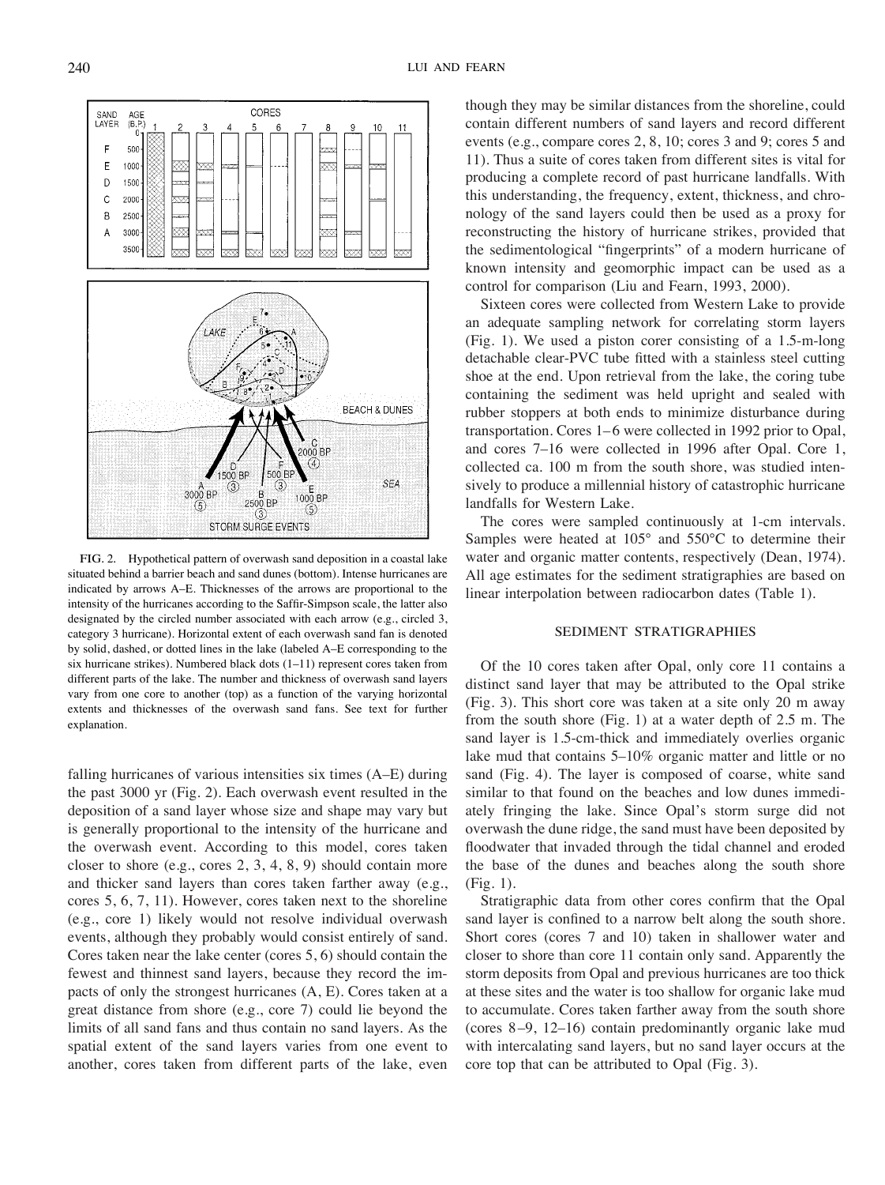FIG. 2. Hypothetical pattern of overwash sand deposition in a coastal lake situated behind a barrier beach and sand dunes (bottom). Intense hurricanes are indicated by arrows A–E. Thicknesses of the arrows are proportional to the intensity of the hurricanes according to the Saffir-Simpson scale, the latter also designated by the circled number associated with each arrow (e.g., circled 3, category 3 hurricane). Horizontal extent of each overwash sand fan is denoted by solid, dashed, or dotted lines in the lake (labeled A–E corresponding to the six hurricane strikes). Numbered black dots (1–11) represent cores taken from different parts of the lake. The number and thickness of overwash sand layers vary from one core to another (top) as a function of the varying horizontal extents and thicknesses of the overwash sand fans. See text for further explanation.

falling hurricanes of various intensities six times (A–E) during the past 3000 yr (Fig. 2). Each overwash event resulted in the deposition of a sand layer whose size and shape may vary but is generally proportional to the intensity of the hurricane and the overwash event. According to this model, cores taken closer to shore (e.g., cores 2, 3, 4, 8, 9) should contain more and thicker sand layers than cores taken farther away (e.g., cores 5, 6, 7, 11). However, cores taken next to the shoreline (e.g., core 1) likely would not resolve individual overwash events, although they probably would consist entirely of sand. Cores taken near the lake center (cores 5, 6) should contain the fewest and thinnest sand layers, because they record the impacts of only the strongest hurricanes (A, E). Cores taken at a great distance from shore (e.g., core 7) could lie beyond the limits of all sand fans and thus contain no sand layers. As the spatial extent of the sand layers varies from one event to another, cores taken from different parts of the lake, even

though they may be similar distances from the shoreline, could contain different numbers of sand layers and record different events (e.g., compare cores 2, 8, 10; cores 3 and 9; cores 5 and 11). Thus a suite of cores taken from different sites is vital for producing a complete record of past hurricane landfalls. With this understanding, the frequency, extent, thickness, and chronology of the sand layers could then be used as a proxy for reconstructing the history of hurricane strikes, provided that the sedimentological "fingerprints" of a modern hurricane of known intensity and geomorphic impact can be used as a control for comparison (Liu and Fearn, 1993, 2000).

Sixteen cores were collected from Western Lake to provide an adequate sampling network for correlating storm layers (Fig. 1). We used a piston corer consisting of a 1.5-m-long detachable clear-PVC tube fitted with a stainless steel cutting shoe at the end. Upon retrieval from the lake, the coring tube containing the sediment was held upright and sealed with rubber stoppers at both ends to minimize disturbance during transportation. Cores 1–6 were collected in 1992 prior to Opal, and cores 7–16 were collected in 1996 after Opal. Core 1, collected ca. 100 m from the south shore, was studied intensively to produce a millennial history of catastrophic hurricane landfalls for Western Lake.

The cores were sampled continuously at 1-cm intervals. Samples were heated at 105° and 550°C to determine their water and organic matter contents, respectively (Dean, 1974). All age estimates for the sediment stratigraphies are based on linear interpolation between radiocarbon dates (Table 1).

# SEDIMENT STRATIGRAPHIES

Of the 10 cores taken after Opal, only core 11 contains a distinct sand layer that may be attributed to the Opal strike (Fig. 3). This short core was taken at a site only 20 m away from the south shore (Fig. 1) at a water depth of 2.5 m. The sand layer is 1.5-cm-thick and immediately overlies organic lake mud that contains 5–10% organic matter and little or no sand (Fig. 4). The layer is composed of coarse, white sand similar to that found on the beaches and low dunes immediately fringing the lake. Since Opal's storm surge did not overwash the dune ridge, the sand must have been deposited by floodwater that invaded through the tidal channel and eroded the base of the dunes and beaches along the south shore (Fig. 1).

Stratigraphic data from other cores confirm that the Opal sand layer is confined to a narrow belt along the south shore. Short cores (cores 7 and 10) taken in shallower water and closer to shore than core 11 contain only sand. Apparently the storm deposits from Opal and previous hurricanes are too thick at these sites and the water is too shallow for organic lake mud to accumulate. Cores taken farther away from the south shore (cores 8 –9, 12–16) contain predominantly organic lake mud with intercalating sand layers, but no sand layer occurs at the core top that can be attributed to Opal (Fig. 3).

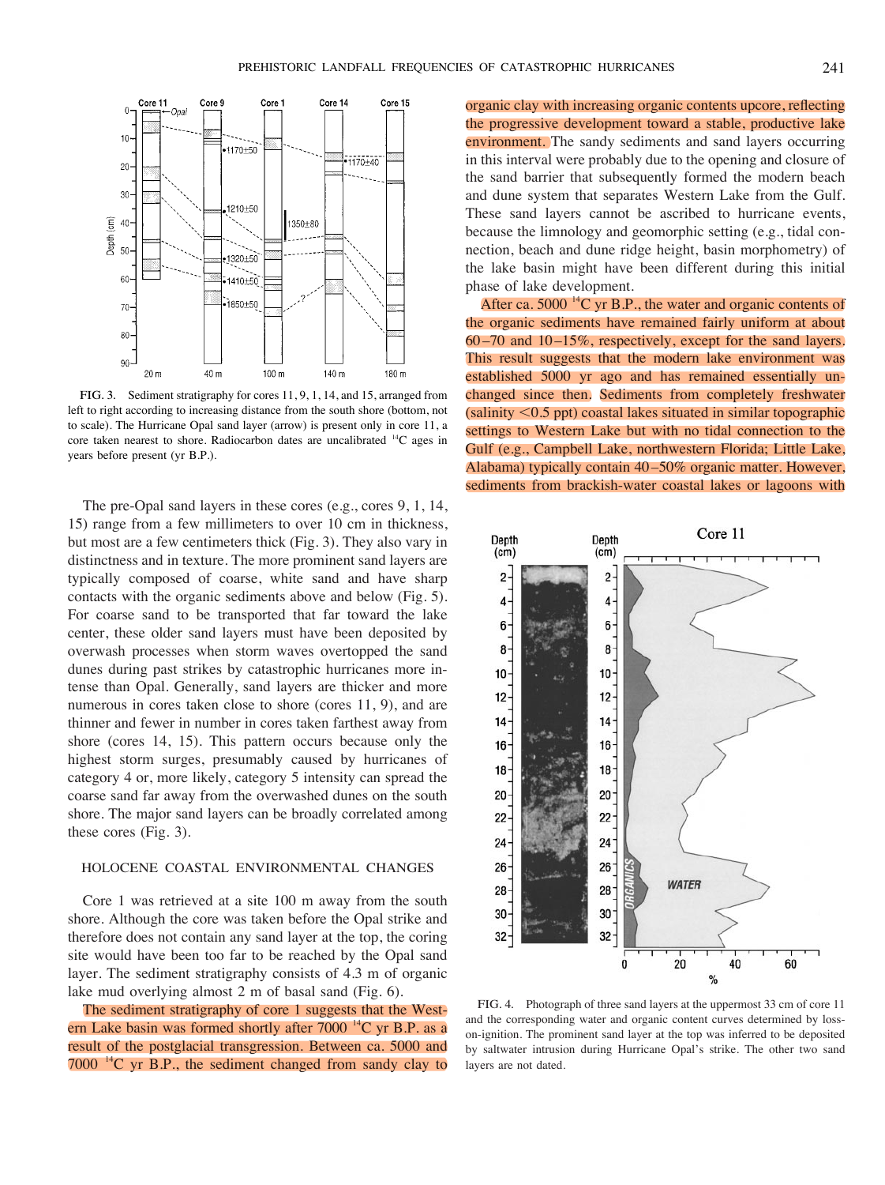

FIG. 3. Sediment stratigraphy for cores 11, 9, 1, 14, and 15, arranged from left to right according to increasing distance from the south shore (bottom, not to scale). The Hurricane Opal sand layer (arrow) is present only in core 11, a core taken nearest to shore. Radiocarbon dates are uncalibrated  ${}^{14}C$  ages in years before present (yr B.P.).

The pre-Opal sand layers in these cores (e.g., cores 9, 1, 14, 15) range from a few millimeters to over 10 cm in thickness, but most are a few centimeters thick (Fig. 3). They also vary in distinctness and in texture. The more prominent sand layers are typically composed of coarse, white sand and have sharp contacts with the organic sediments above and below (Fig. 5). For coarse sand to be transported that far toward the lake center, these older sand layers must have been deposited by overwash processes when storm waves overtopped the sand dunes during past strikes by catastrophic hurricanes more intense than Opal. Generally, sand layers are thicker and more numerous in cores taken close to shore (cores 11, 9), and are thinner and fewer in number in cores taken farthest away from shore (cores 14, 15). This pattern occurs because only the highest storm surges, presumably caused by hurricanes of category 4 or, more likely, category 5 intensity can spread the coarse sand far away from the overwashed dunes on the south shore. The major sand layers can be broadly correlated among these cores (Fig. 3).

## HOLOCENE COASTAL ENVIRONMENTAL CHANGES

Core 1 was retrieved at a site 100 m away from the south shore. Although the core was taken before the Opal strike and therefore does not contain any sand layer at the top, the coring site would have been too far to be reached by the Opal sand layer. The sediment stratigraphy consists of 4.3 m of organic lake mud overlying almost 2 m of basal sand (Fig. 6).

The sediment stratigraphy of core 1 suggests that the Western Lake basin was formed shortly after  $7000<sup>14</sup>C$  yr B.P. as a result of the postglacial transgression. Between ca. 5000 and  $7000$  <sup>14</sup>C yr B.P., the sediment changed from sandy clay to

organic clay with increasing organic contents upcore, reflecting the progressive development toward a stable, productive lake environment. The sandy sediments and sand layers occurring in this interval were probably due to the opening and closure of the sand barrier that subsequently formed the modern beach and dune system that separates Western Lake from the Gulf. These sand layers cannot be ascribed to hurricane events, because the limnology and geomorphic setting (e.g., tidal connection, beach and dune ridge height, basin morphometry) of the lake basin might have been different during this initial phase of lake development.

After ca. 5000<sup> $14$ </sup>C yr B.P., the water and organic contents of the organic sediments have remained fairly uniform at about 60 –70 and 10 –15%, respectively, except for the sand layers. This result suggests that the modern lake environment was established 5000 yr ago and has remained essentially unchanged since then. Sediments from completely freshwater  $(salinity < 0.5$  ppt) coastal lakes situated in similar topographic settings to Western Lake but with no tidal connection to the Gulf (e.g., Campbell Lake, northwestern Florida; Little Lake, Alabama) typically contain 40 –50% organic matter. However, sediments from brackish-water coastal lakes or lagoons with



FIG. 4. Photograph of three sand layers at the uppermost 33 cm of core 11 and the corresponding water and organic content curves determined by losson-ignition. The prominent sand layer at the top was inferred to be deposited by saltwater intrusion during Hurricane Opal's strike. The other two sand layers are not dated.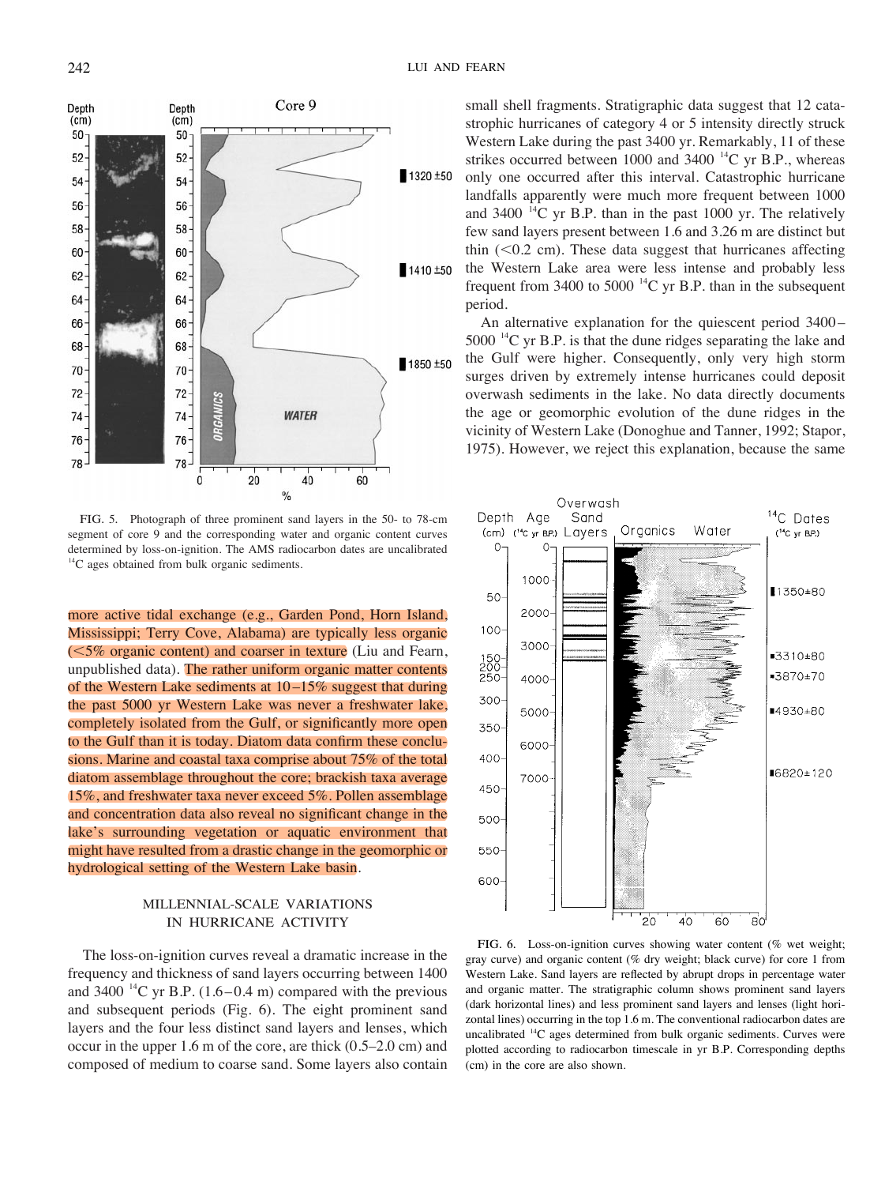

FIG. 5. Photograph of three prominent sand layers in the 50- to 78-cm segment of core 9 and the corresponding water and organic content curves determined by loss-on-ignition. The AMS radiocarbon dates are uncalibrated  $14^{\circ}$ C ages obtained from bulk organic sediments.

more active tidal exchange (e.g., Garden Pond, Horn Island, Mississippi; Terry Cove, Alabama) are typically less organic  $\approx$  15% organic content) and coarser in texture (Liu and Fearn, unpublished data). The rather uniform organic matter contents of the Western Lake sediments at 10 –15% suggest that during the past 5000 yr Western Lake was never a freshwater lake, completely isolated from the Gulf, or significantly more open to the Gulf than it is today. Diatom data confirm these conclusions. Marine and coastal taxa comprise about 75% of the total diatom assemblage throughout the core; brackish taxa average 15%, and freshwater taxa never exceed 5%. Pollen assemblage and concentration data also reveal no significant change in the lake's surrounding vegetation or aquatic environment that might have resulted from a drastic change in the geomorphic or hydrological setting of the Western Lake basin.

# MILLENNIAL-SCALE VARIATIONS IN HURRICANE ACTIVITY

The loss-on-ignition curves reveal a dramatic increase in the frequency and thickness of sand layers occurring between 1400 and 3400  $^{14}$ C yr B.P. (1.6–0.4 m) compared with the previous and subsequent periods (Fig. 6). The eight prominent sand layers and the four less distinct sand layers and lenses, which occur in the upper 1.6 m of the core, are thick (0.5–2.0 cm) and composed of medium to coarse sand. Some layers also contain small shell fragments. Stratigraphic data suggest that 12 catastrophic hurricanes of category 4 or 5 intensity directly struck Western Lake during the past 3400 yr. Remarkably, 11 of these strikes occurred between 1000 and 3400  $^{14}$ C yr B.P., whereas only one occurred after this interval. Catastrophic hurricane landfalls apparently were much more frequent between 1000 and 3400  $^{14}$ C yr B.P. than in the past 1000 yr. The relatively few sand layers present between 1.6 and 3.26 m are distinct but thin  $( $0.2 \text{ cm}$ ). These data suggest that hurricanes affecting$ the Western Lake area were less intense and probably less frequent from 3400 to 5000<sup>-14</sup>C yr B.P. than in the subsequent period.

An alternative explanation for the quiescent period 3400 – 5000  $^{14}$ C yr B.P. is that the dune ridges separating the lake and the Gulf were higher. Consequently, only very high storm surges driven by extremely intense hurricanes could deposit overwash sediments in the lake. No data directly documents the age or geomorphic evolution of the dune ridges in the vicinity of Western Lake (Donoghue and Tanner, 1992; Stapor, 1975). However, we reject this explanation, because the same



FIG. 6. Loss-on-ignition curves showing water content (% wet weight; gray curve) and organic content (% dry weight; black curve) for core 1 from Western Lake. Sand layers are reflected by abrupt drops in percentage water and organic matter. The stratigraphic column shows prominent sand layers (dark horizontal lines) and less prominent sand layers and lenses (light horizontal lines) occurring in the top 1.6 m. The conventional radiocarbon dates are uncalibrated  $^{14}$ C ages determined from bulk organic sediments. Curves were plotted according to radiocarbon timescale in yr B.P. Corresponding depths (cm) in the core are also shown.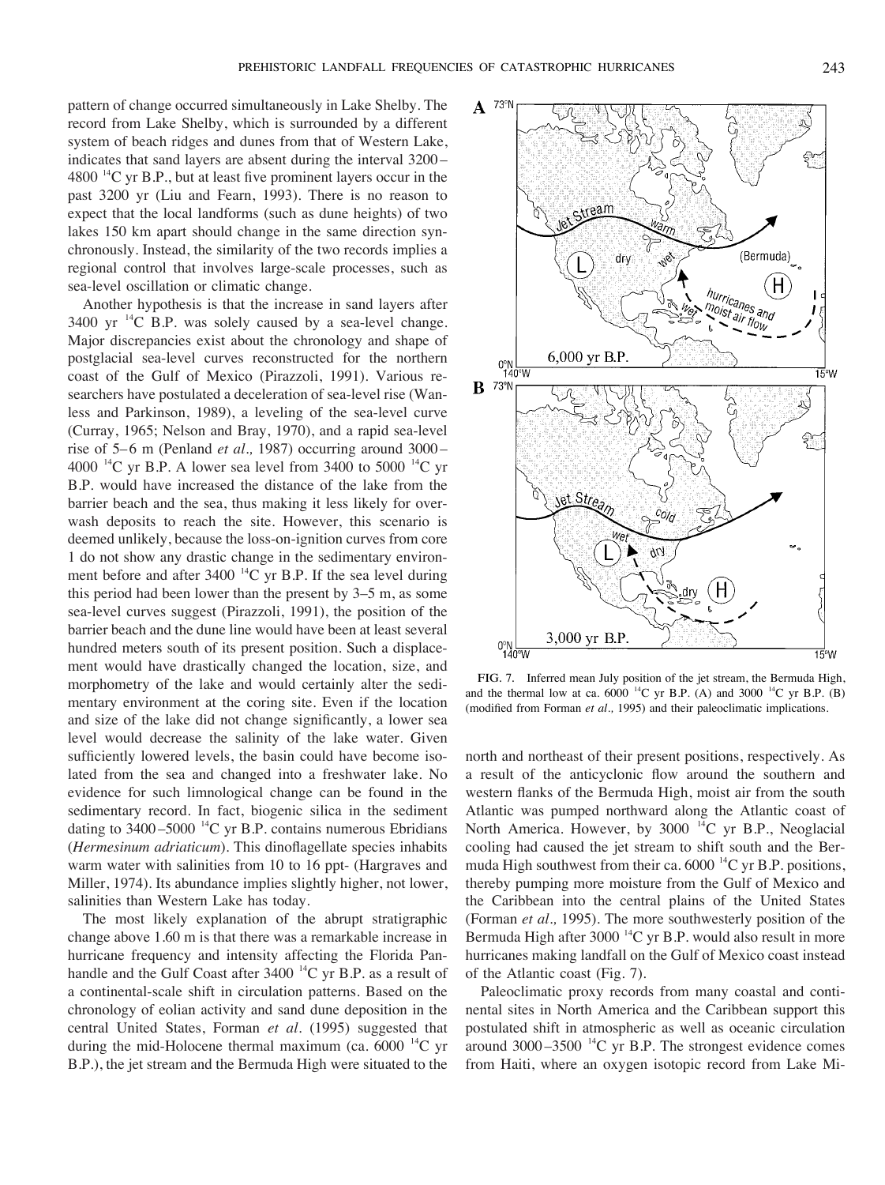pattern of change occurred simultaneously in Lake Shelby. The record from Lake Shelby, which is surrounded by a different system of beach ridges and dunes from that of Western Lake, indicates that sand layers are absent during the interval 3200 –  $4800<sup>14</sup>C$  yr B.P., but at least five prominent layers occur in the past 3200 yr (Liu and Fearn, 1993). There is no reason to expect that the local landforms (such as dune heights) of two lakes 150 km apart should change in the same direction synchronously. Instead, the similarity of the two records implies a regional control that involves large-scale processes, such as sea-level oscillation or climatic change.

Another hypothesis is that the increase in sand layers after  $3400$  yr  $^{14}$ C B.P. was solely caused by a sea-level change. Major discrepancies exist about the chronology and shape of postglacial sea-level curves reconstructed for the northern coast of the Gulf of Mexico (Pirazzoli, 1991). Various researchers have postulated a deceleration of sea-level rise (Wanless and Parkinson, 1989), a leveling of the sea-level curve (Curray, 1965; Nelson and Bray, 1970), and a rapid sea-level rise of 5–6 m (Penland *et al.*, 1987) occurring around 3000– 4000  $^{14}$ C yr B.P. A lower sea level from 3400 to 5000  $^{14}$ C yr B.P. would have increased the distance of the lake from the barrier beach and the sea, thus making it less likely for overwash deposits to reach the site. However, this scenario is deemed unlikely, because the loss-on-ignition curves from core 1 do not show any drastic change in the sedimentary environment before and after  $3400^{14}$ C yr B.P. If the sea level during this period had been lower than the present by 3–5 m, as some sea-level curves suggest (Pirazzoli, 1991), the position of the barrier beach and the dune line would have been at least several hundred meters south of its present position. Such a displacement would have drastically changed the location, size, and morphometry of the lake and would certainly alter the sedimentary environment at the coring site. Even if the location and size of the lake did not change significantly, a lower sea level would decrease the salinity of the lake water. Given sufficiently lowered levels, the basin could have become isolated from the sea and changed into a freshwater lake. No evidence for such limnological change can be found in the sedimentary record. In fact, biogenic silica in the sediment dating to  $3400 - 5000$  <sup>14</sup>C yr B.P. contains numerous Ebridians (*Hermesinum adriaticum*). This dinoflagellate species inhabits warm water with salinities from 10 to 16 ppt- (Hargraves and Miller, 1974). Its abundance implies slightly higher, not lower, salinities than Western Lake has today.

The most likely explanation of the abrupt stratigraphic change above 1.60 m is that there was a remarkable increase in hurricane frequency and intensity affecting the Florida Panhandle and the Gulf Coast after  $3400^{14}$ C yr B.P. as a result of a continental-scale shift in circulation patterns. Based on the chronology of eolian activity and sand dune deposition in the central United States, Forman *et al.* (1995) suggested that during the mid-Holocene thermal maximum (ca.  $6000^{-14}$ C yr B.P.), the jet stream and the Bermuda High were situated to the



FIG. 7. Inferred mean July position of the jet stream, the Bermuda High, and the thermal low at ca. 6000<sup>14</sup>C yr B.P. (A) and 3000<sup>14</sup>C yr B.P. (B) (modified from Forman *et al.,* 1995) and their paleoclimatic implications.

north and northeast of their present positions, respectively. As a result of the anticyclonic flow around the southern and western flanks of the Bermuda High, moist air from the south Atlantic was pumped northward along the Atlantic coast of North America. However, by 3000<sup>14</sup>C yr B.P., Neoglacial cooling had caused the jet stream to shift south and the Bermuda High southwest from their ca.  $6000^{14}$ C yr B.P. positions, thereby pumping more moisture from the Gulf of Mexico and the Caribbean into the central plains of the United States (Forman *et al.,* 1995). The more southwesterly position of the Bermuda High after  $3000^{14}$ C yr B.P. would also result in more hurricanes making landfall on the Gulf of Mexico coast instead of the Atlantic coast (Fig. 7).

Paleoclimatic proxy records from many coastal and continental sites in North America and the Caribbean support this postulated shift in atmospheric as well as oceanic circulation around  $3000 - 3500$  <sup>14</sup>C yr B.P. The strongest evidence comes from Haiti, where an oxygen isotopic record from Lake Mi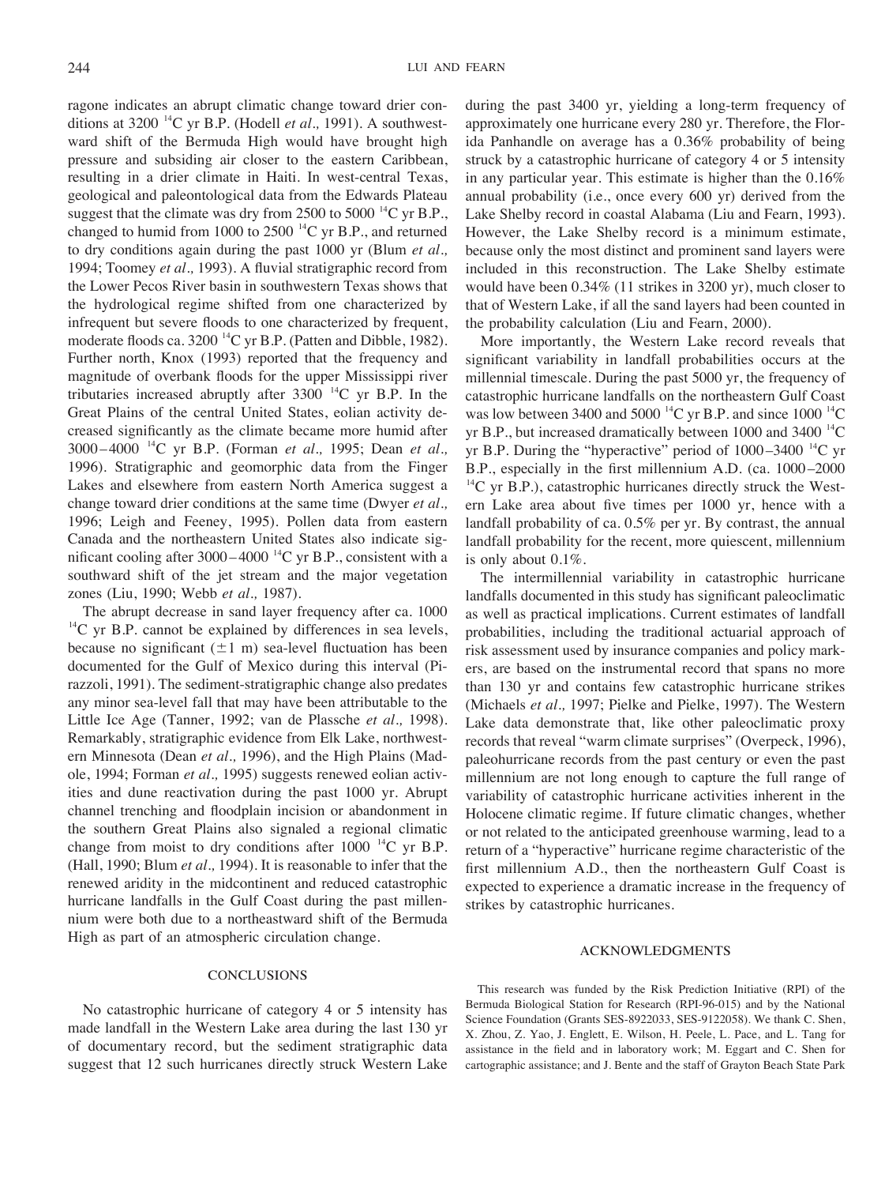ragone indicates an abrupt climatic change toward drier conditions at  $3200^{14}$ C yr B.P. (Hodell *et al.*, 1991). A southwestward shift of the Bermuda High would have brought high pressure and subsiding air closer to the eastern Caribbean, resulting in a drier climate in Haiti. In west-central Texas, geological and paleontological data from the Edwards Plateau suggest that the climate was dry from 2500 to 5000<sup>-14</sup>C yr B.P., changed to humid from 1000 to 2500<sup> $14$ </sup>C yr B.P., and returned to dry conditions again during the past 1000 yr (Blum *et al.,* 1994; Toomey *et al.,* 1993). A fluvial stratigraphic record from the Lower Pecos River basin in southwestern Texas shows that the hydrological regime shifted from one characterized by infrequent but severe floods to one characterized by frequent, moderate floods ca. 3200<sup>14</sup>C yr B.P. (Patten and Dibble, 1982). Further north, Knox (1993) reported that the frequency and magnitude of overbank floods for the upper Mississippi river tributaries increased abruptly after  $3300^{-14}$ C yr B.P. In the Great Plains of the central United States, eolian activity decreased significantly as the climate became more humid after 3000 – 4000 14C yr B.P. (Forman *et al.,* 1995; Dean *et al.,* 1996). Stratigraphic and geomorphic data from the Finger Lakes and elsewhere from eastern North America suggest a change toward drier conditions at the same time (Dwyer *et al.,* 1996; Leigh and Feeney, 1995). Pollen data from eastern Canada and the northeastern United States also indicate significant cooling after  $3000 - 4000$  <sup>14</sup>C yr B.P., consistent with a southward shift of the jet stream and the major vegetation zones (Liu, 1990; Webb *et al.,* 1987).

The abrupt decrease in sand layer frequency after ca. 1000  $^{14}$ C yr B.P. cannot be explained by differences in sea levels, because no significant  $(\pm 1 \text{ m})$  sea-level fluctuation has been documented for the Gulf of Mexico during this interval (Pirazzoli, 1991). The sediment-stratigraphic change also predates any minor sea-level fall that may have been attributable to the Little Ice Age (Tanner, 1992; van de Plassche *et al.,* 1998). Remarkably, stratigraphic evidence from Elk Lake, northwestern Minnesota (Dean *et al.,* 1996), and the High Plains (Madole, 1994; Forman *et al.,* 1995) suggests renewed eolian activities and dune reactivation during the past 1000 yr. Abrupt channel trenching and floodplain incision or abandonment in the southern Great Plains also signaled a regional climatic change from moist to dry conditions after  $1000^{-14}$ C yr B.P. (Hall, 1990; Blum *et al.,* 1994). It is reasonable to infer that the renewed aridity in the midcontinent and reduced catastrophic hurricane landfalls in the Gulf Coast during the past millennium were both due to a northeastward shift of the Bermuda High as part of an atmospheric circulation change.

## **CONCLUSIONS**

No catastrophic hurricane of category 4 or 5 intensity has made landfall in the Western Lake area during the last 130 yr of documentary record, but the sediment stratigraphic data suggest that 12 such hurricanes directly struck Western Lake

during the past 3400 yr, yielding a long-term frequency of approximately one hurricane every 280 yr. Therefore, the Florida Panhandle on average has a 0.36% probability of being struck by a catastrophic hurricane of category 4 or 5 intensity in any particular year. This estimate is higher than the 0.16% annual probability (i.e., once every 600 yr) derived from the Lake Shelby record in coastal Alabama (Liu and Fearn, 1993). However, the Lake Shelby record is a minimum estimate, because only the most distinct and prominent sand layers were included in this reconstruction. The Lake Shelby estimate would have been 0.34% (11 strikes in 3200 yr), much closer to that of Western Lake, if all the sand layers had been counted in the probability calculation (Liu and Fearn, 2000).

More importantly, the Western Lake record reveals that significant variability in landfall probabilities occurs at the millennial timescale. During the past 5000 yr, the frequency of catastrophic hurricane landfalls on the northeastern Gulf Coast was low between 3400 and 5000  $^{14}$ C yr B.P. and since 1000  $^{14}$ C yr B.P., but increased dramatically between 1000 and 3400  $^{14}$ C yr B.P. During the "hyperactive" period of  $1000-3400$  <sup>14</sup>C yr B.P., especially in the first millennium A.D. (ca. 1000 –2000  $^{14}$ C yr B.P.), catastrophic hurricanes directly struck the Western Lake area about five times per 1000 yr, hence with a landfall probability of ca. 0.5% per yr. By contrast, the annual landfall probability for the recent, more quiescent, millennium is only about 0.1%.

The intermillennial variability in catastrophic hurricane landfalls documented in this study has significant paleoclimatic as well as practical implications. Current estimates of landfall probabilities, including the traditional actuarial approach of risk assessment used by insurance companies and policy markers, are based on the instrumental record that spans no more than 130 yr and contains few catastrophic hurricane strikes (Michaels *et al.,* 1997; Pielke and Pielke, 1997). The Western Lake data demonstrate that, like other paleoclimatic proxy records that reveal "warm climate surprises" (Overpeck, 1996), paleohurricane records from the past century or even the past millennium are not long enough to capture the full range of variability of catastrophic hurricane activities inherent in the Holocene climatic regime. If future climatic changes, whether or not related to the anticipated greenhouse warming, lead to a return of a "hyperactive" hurricane regime characteristic of the first millennium A.D., then the northeastern Gulf Coast is expected to experience a dramatic increase in the frequency of strikes by catastrophic hurricanes.

#### ACKNOWLEDGMENTS

This research was funded by the Risk Prediction Initiative (RPI) of the Bermuda Biological Station for Research (RPI-96-015) and by the National Science Foundation (Grants SES-8922033, SES-9122058). We thank C. Shen, X. Zhou, Z. Yao, J. Englett, E. Wilson, H. Peele, L. Pace, and L. Tang for assistance in the field and in laboratory work; M. Eggart and C. Shen for cartographic assistance; and J. Bente and the staff of Grayton Beach State Park